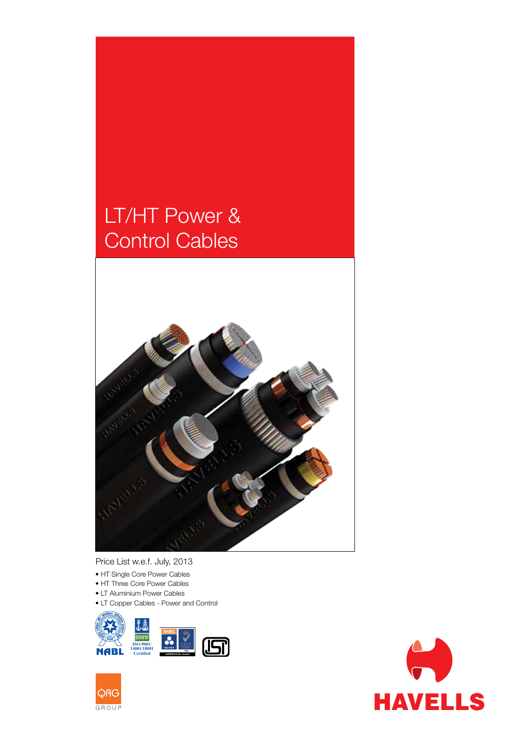# LT/HT Power & Control Cables



Price List w.e.f. July, 2013

- HT Single Core Power Cables
- HT Three Core Power Cables
- LT Aluminium Power Cables
- LT Copper Cables Power and Control





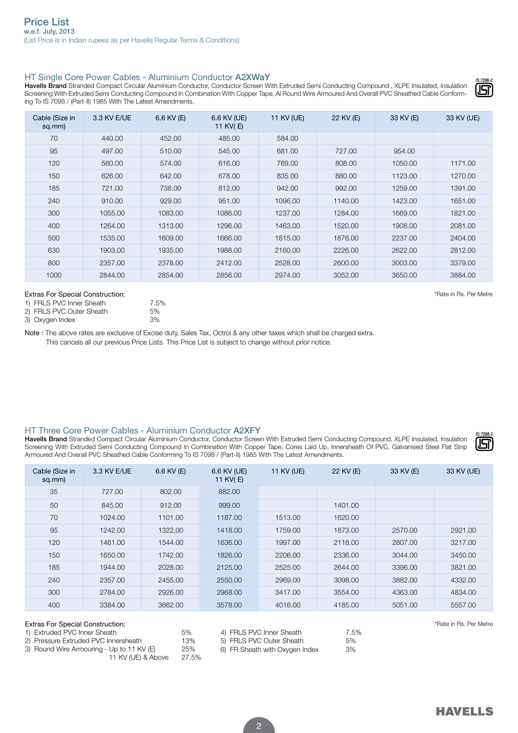# HT Single Core Power Cables - Aluminium Conductor A2XWaY

Havells Brand Stranded Compact Circular Aluminium Conductor, Conductor Screen With Extruded Semi Conducting Compound, XLPE Insulated, Insulation Screening With Extruded Semi Conducting Compound In Combination With Copper Tape, Al Round Wire Armoured And Overall PVC Sheathed Cable Conforming To IS 7098 / (Part-II) 1985 With The Latest Amendments.

| Cable (Size in<br>sq.mm) | 3.3 KV E/UE | $6.6$ KV $(E)$ | 6.6 KV (UE)<br>11 KV(E) | 11 KV (UE) | 22 KV (E) | 33 KV (E) | 33 KV (UE) |
|--------------------------|-------------|----------------|-------------------------|------------|-----------|-----------|------------|
| 70                       | 440.00      | 452.00         | 485.00                  | 584.00     |           |           |            |
| 95                       | 497.00      | 510.00         | 545.00                  | 681.00     | 727.00    | 954.00    |            |
| 120                      | 560.00      | 574.00         | 616.00                  | 769.00     | 808.00    | 1050.00   | 1171.00    |
| 150                      | 626.00      | 642.00         | 678.00                  | 835.00     | 880.00    | 1123.00   | 1270.00    |
| 185                      | 721.00      | 738.00         | 812.00                  | 942.00     | 992.00    | 1259.00   | 1391.00    |
| 240                      | 910.00      | 929.00         | 951.00                  | 1096.00    | 1140.00   | 1423.00   | 1651.00    |
| 300                      | 1055.00     | 1083.00        | 1086.00                 | 1237.00    | 1284.00   | 1669.00   | 1821.00    |
| 400                      | 1264.00     | 1313.00        | 1296.00                 | 1463.00    | 1520.00   | 1908.00   | 2081.00    |
| 500                      | 1535.00     | 1609.00        | 1666.00                 | 1815.00    | 1876.00   | 2237.00   | 2404.00    |
| 630                      | 1903.00     | 1935.00        | 1988.00                 | 2160.00    | 2226.00   | 2622.00   | 2812.00    |
| 800                      | 2357.00     | 2378.00        | 2412.00                 | 2528.00    | 2600.00   | 3003.00   | 3379.00    |
| 1000                     | 2844.00     | 2854.00        | 2856.00                 | 2974.00    | 3052.00   | 3650.00   | 3884.00    |

#### Extras For Special Construction: the construction of the construction of the construction: the construction: the construction of the construction of the construction of the construction of the construction of the construct

| 1) FRLS PVC Inner Sheath |  |
|--------------------------|--|
|                          |  |

| 2) FRLS PVC Outer Sheath | 5% |
|--------------------------|----|
|                          |    |

3) Oxygen Index 3%

Note : The above rates are exclusive of Excise duty, Sales Tax, Octroi & any other taxes which shall be charged extra. This cancels all our previous Price Lists. This Price List is subject to change without prior notice.

## HT Three Core Power Cables - Aluminium Conductor A2XFY

7.5%

Havells Brand Stranded Compact Circular Aluminium Conductor, Conductor Screen With Extruded Semi Conducting Compound, XLPE Insulated, Insulation Screening With Extruded Semi Conducting Compound In Combination With Copper Tape, Cores Laid Up, Innersheath Of PVC, Galvanised Steel Flat Strip Armoured And Overall PVC Sheathed Cable Conforming To IS 7098 / (Part-II) 1985 With The Latest Amendments.

|  | - 7 | 098- | ì |
|--|-----|------|---|
|  |     |      |   |

| Cable (Size in<br>sq.mm)                                   | 3.3 KV E/UE | 6.6 KV $(E)$ | 6.6 KV (UE)<br>11 KV(E) | 11 KV (UE) | 22 KV (E) | 33 KV (E) | 33 KV (UE) |  |  |
|------------------------------------------------------------|-------------|--------------|-------------------------|------------|-----------|-----------|------------|--|--|
| 35                                                         | 727.00      | 802.00       | 882.00                  |            |           |           |            |  |  |
| 50                                                         | 845.00      | 912.00       | 999.00                  |            | 1401.00   |           |            |  |  |
| 70                                                         | 1024.00     | 1101.00      | 1187.00                 | 1513.00    | 1620.00   |           |            |  |  |
| 95                                                         | 1242.00     | 1322.00      | 1418.00                 | 1759.00    | 1873.00   | 2570.00   | 2921.00    |  |  |
| 120                                                        | 1461.00     | 1544.00      | 1636.00                 | 1997.00    | 2118.00   | 2807.00   | 3217.00    |  |  |
| 150                                                        | 1650.00     | 1742.00      | 1826.00                 | 2206.00    | 2336.00   | 3044.00   | 3450.00    |  |  |
| 185                                                        | 1944.00     | 2028.00      | 2125.00                 | 2525.00    | 2644.00   | 3396.00   | 3821.00    |  |  |
| 240                                                        | 2357.00     | 2455.00      | 2550.00                 | 2969.00    | 3098.00   | 3882.00   | 4332.00    |  |  |
| 300                                                        | 2784.00     | 2926.00      | 2968.00                 | 3417.00    | 3554.00   | 4363.00   | 4834.00    |  |  |
| 400                                                        | 3384.00     | 3662.00      | 3578.00                 | 4016.00    | 4185.00   | 5051.00   | 5557.00    |  |  |
| Extras For Special Construction:<br>*Rate in Rs. Per Metre |             |              |                         |            |           |           |            |  |  |

| <b>EXTRIBUT OF SPECIAL COLISTIQUIOL.</b>  |       |                                |      |
|-------------------------------------------|-------|--------------------------------|------|
| 1) Extruded PVC Inner Sheath              | 5%    | 4) FRLS PVC Inner Sheath       | 7.5% |
| 2) Pressure Extruded PVC Innersheath      | 13%   | 5) FRLS PVC Outer Sheath       | 5%   |
| 3) Round Wire Armouring - Up to 11 KV (E) | 25%   | 6) FR Sheath with Oxygen Index | 3%   |
| 11 KV (UE) & Above                        | 27.5% |                                |      |



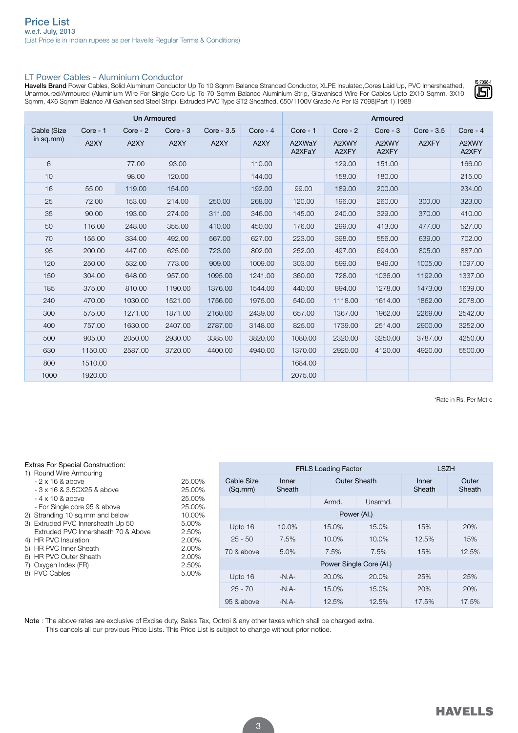## LT Power Cables - Aluminium Conductor

Havells Brand Power Cables, Solid Aluminum Conductor Up To 10 Sqmm Balance Stranded Conductor, XLPE Insulated,Cores Laid Up, PVC Innersheathed, Unarmoured/Armoured (Aluminium Wire For Single Core Up To 70 Sqmm Balance Aluminium Strip, Glavanised Wire For Cables Upto 2X10 Sqmm, 3X10 Sqmm, 4X6 Sqmm Balance All Galvanised Steel Strip), Extruded PVC Type ST2 Sheathed, 650/1100V Grade As Per IS 7098(Part 1) 1988

| <b>Un Armoured</b> |          |          |            |            |            | Armoured         |                |                |            |                |
|--------------------|----------|----------|------------|------------|------------|------------------|----------------|----------------|------------|----------------|
| Cable (Size        | Core - 1 | Core - 2 | $Core - 3$ | Core - 3.5 | Core - $4$ | $Core - 1$       | $Core - 2$     | Core - 3       | Core - 3.5 | $Core - 4$     |
| in sq.mm $)$       | A2XY     | A2XY     | A2XY       | A2XY       | A2XY       | A2XWaY<br>A2XFaY | A2XWY<br>A2XFY | A2XWY<br>A2XFY | A2XFY      | A2XWY<br>A2XFY |
| 6                  |          | 77.00    | 93.00      |            | 110.00     |                  | 129.00         | 151.00         |            | 166.00         |
| 10                 |          | 98.00    | 120.00     |            | 144.00     |                  | 158.00         | 180.00         |            | 215.00         |
| 16                 | 55.00    | 119.00   | 154.00     |            | 192.00     | 99.00            | 189.00         | 200.00         |            | 234.00         |
| 25                 | 72.00    | 153.00   | 214.00     | 250.00     | 268.00     | 120.00           | 196.00         | 260.00         | 300.00     | 323.00         |
| 35                 | 90.00    | 193.00   | 274.00     | 311.00     | 346.00     | 145.00           | 240.00         | 329.00         | 370.00     | 410.00         |
| 50                 | 116.00   | 248.00   | 355.00     | 410.00     | 450.00     | 176.00           | 299.00         | 413.00         | 477.00     | 527.00         |
| 70                 | 155.00   | 334.00   | 492.00     | 567.00     | 627.00     | 223.00           | 398.00         | 556.00         | 639.00     | 702.00         |
| 95                 | 200.00   | 447.00   | 625.00     | 723.00     | 802.00     | 252.00           | 497.00         | 694.00         | 805.00     | 887.00         |
| 120                | 250.00   | 532.00   | 773.00     | 909.00     | 1009.00    | 303.00           | 599.00         | 849.00         | 1005.00    | 1097.00        |
| 150                | 304.00   | 648.00   | 957.00     | 1095.00    | 1241.00    | 360.00           | 728.00         | 1036.00        | 1192.00    | 1337.00        |
| 185                | 375.00   | 810.00   | 1190.00    | 1376.00    | 1544.00    | 440.00           | 894.00         | 1278.00        | 1473.00    | 1639.00        |
| 240                | 470.00   | 1030.00  | 1521.00    | 1756.00    | 1975.00    | 540.00           | 1118.00        | 1614.00        | 1862.00    | 2078.00        |
| 300                | 575.00   | 1271.00  | 1871.00    | 2160.00    | 2439.00    | 657.00           | 1367.00        | 1962.00        | 2269.00    | 2542.00        |
| 400                | 757.00   | 1630.00  | 2407.00    | 2787.00    | 3148.00    | 825.00           | 1739.00        | 2514.00        | 2900.00    | 3252.00        |
| 500                | 905.00   | 2050.00  | 2930.00    | 3385.00    | 3820.00    | 1080.00          | 2320.00        | 3250.00        | 3787.00    | 4250.00        |
| 630                | 1150.00  | 2587.00  | 3720.00    | 4400.00    | 4940.00    | 1370.00          | 2920.00        | 4120.00        | 4920.00    | 5500.00        |
| 800                | 1510.00  |          |            |            |            | 1684.00          |                |                |            |                |
| 1000               | 1920.00  |          |            |            |            | 2075.00          |                |                |            |                |

\*Rate in Rs. Per Metre

| <b>Extras For Special Construction:</b><br>1) Round Wire Armouring                                                                                                                                                                                           |                                                                           | <b>LSZH</b><br><b>FRLS Loading Factor</b> |                 |              |         |                 |                 |  |  |  |
|--------------------------------------------------------------------------------------------------------------------------------------------------------------------------------------------------------------------------------------------------------------|---------------------------------------------------------------------------|-------------------------------------------|-----------------|--------------|---------|-----------------|-----------------|--|--|--|
| $-2 \times 16$ & above<br>$-3 \times 16$ & 3.5 CX25 & above<br>$-4 \times 10$ & above<br>- For Single core 95 & above<br>2) Stranding 10 sq.mm and below<br>3) Extruded PVC Innersheath Up 50<br>Extruded PVC Innersheath 70 & Above<br>4) HR PVC Insulation | 25.00%<br>25.00%<br>25.00%<br>25.00%<br>10.00%<br>5.00%<br>2.50%<br>2.00% | Cable Size<br>(Sq.mm)                     | Inner<br>Sheath | Outer Sheath |         | Inner<br>Sheath | Outer<br>Sheath |  |  |  |
|                                                                                                                                                                                                                                                              |                                                                           |                                           |                 | Armd.        | Unarmd. |                 |                 |  |  |  |
|                                                                                                                                                                                                                                                              |                                                                           | Power (Al.)                               |                 |              |         |                 |                 |  |  |  |
|                                                                                                                                                                                                                                                              |                                                                           | Upto 16                                   | 10.0%           | 15.0%        | 15.0%   | 15%             | 20%             |  |  |  |
|                                                                                                                                                                                                                                                              |                                                                           | $25 - 50$                                 | 7.5%            | 10.0%        | 10.0%   | 12.5%           | 15%             |  |  |  |
| 5) HR PVC Inner Sheath<br>6) HR PVC Outer Sheath                                                                                                                                                                                                             | 2.00%<br>2.00%                                                            | 70 & above                                | 5.0%            | 7.5%         | 7.5%    | 15%             | 12.5%           |  |  |  |
| 7) Oxygen Index (FR)<br>8) PVC Cables                                                                                                                                                                                                                        | 2.50%                                                                     | Power Single Core (Al.)                   |                 |              |         |                 |                 |  |  |  |
|                                                                                                                                                                                                                                                              | 5.00%                                                                     | Upto 16                                   | $-N.A-$         | 20.0%        | 20.0%   | 25%             | 25%             |  |  |  |
|                                                                                                                                                                                                                                                              |                                                                           | $25 - 70$                                 | $-N.A-$         | 15.0%        | 15.0%   | 20%             | 20%             |  |  |  |
|                                                                                                                                                                                                                                                              |                                                                           | 95 & above                                | $-N.A-$         | 12.5%        | 12.5%   | 17.5%           | 17.5%           |  |  |  |

Note : The above rates are exclusive of Excise duty, Sales Tax, Octroi & any other taxes which shall be charged extra. This cancels all our previous Price Lists. This Price List is subject to change without prior notice.

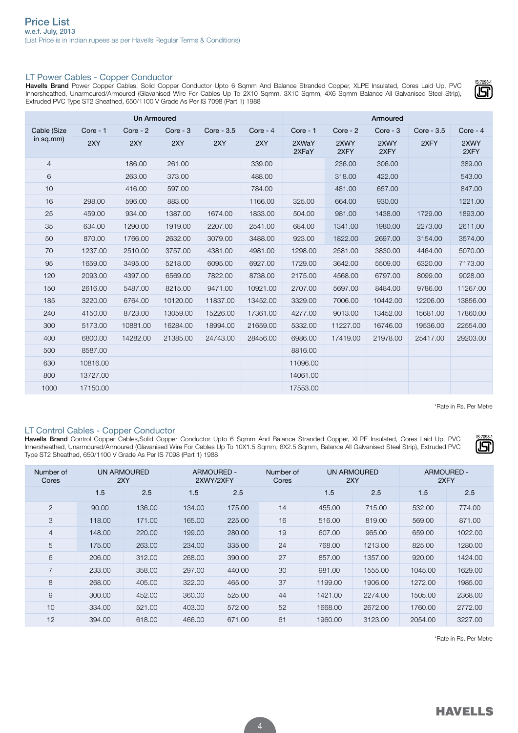# LT Power Cables - Copper Conductor

Havells Brand Power Copper Cables, Solid Copper Conductor Upto 6 Sqmm And Balance Stranded Copper, XLPE Insulated, Cores Laid Up, PVC Innersheathed, Unarmoured/Armoured (Glavanised Wire For Cables Up To 2X10 Sqmm, 3X10 Sqmm, 4X6 Sqmm Balance All Galvanised Steel Strip), Extruded PVC Type ST2 Sheathed, 650/1100 V Grade As Per IS 7098 (Part 1) 1988

| <b>Un Armoured</b> |          |            |          |            |           | Armoured       |              |              |              |              |
|--------------------|----------|------------|----------|------------|-----------|----------------|--------------|--------------|--------------|--------------|
| Cable (Size        | Core - 1 | $Core - 2$ | Core - 3 | Core - 3.5 | Core $-4$ | $Core - 1$     | $Core - 2$   | Core - 3     | $Core - 3.5$ | Core $-4$    |
| in sq.mm)          | 2XY      | 2XY        | 2XY      | 2XY        | 2XY       | 2XWaY<br>2XFaY | 2XWY<br>2XFY | 2XWY<br>2XFY | 2XFY         | 2XWY<br>2XFY |
| $\overline{4}$     |          | 186.00     | 261.00   |            | 339.00    |                | 236.00       | 306.00       |              | 389.00       |
| 6                  |          | 263.00     | 373.00   |            | 488.00    |                | 318.00       | 422.00       |              | 543.00       |
| 10                 |          | 416.00     | 597.00   |            | 784.00    |                | 481.00       | 657.00       |              | 847.00       |
| 16                 | 298.00   | 596.00     | 883.00   |            | 1166.00   | 325.00         | 664.00       | 930.00       |              | 1221.00      |
| 25                 | 459.00   | 934.00     | 1387.00  | 1674.00    | 1833.00   | 504.00         | 981.00       | 1438.00      | 1729.00      | 1893.00      |
| 35                 | 634.00   | 1290.00    | 1919.00  | 2207.00    | 2541.00   | 684.00         | 1341.00      | 1980.00      | 2273.00      | 2611.00      |
| 50                 | 870.00   | 1766.00    | 2632.00  | 3079.00    | 3488.00   | 923.00         | 1822.00      | 2697.00      | 3154.00      | 3574.00      |
| 70                 | 1237.00  | 2510.00    | 3757.00  | 4381.00    | 4981.00   | 1298.00        | 2581.00      | 3830.00      | 4464.00      | 5070.00      |
| 95                 | 1659.00  | 3495.00    | 5218.00  | 6095.00    | 6927.00   | 1729.00        | 3642.00      | 5509.00      | 6320.00      | 7173.00      |
| 120                | 2093.00  | 4397.00    | 6569.00  | 7822.00    | 8738.00   | 2175.00        | 4568.00      | 6797.00      | 8099.00      | 9028.00      |
| 150                | 2616.00  | 5487.00    | 8215.00  | 9471.00    | 10921.00  | 2707.00        | 5697.00      | 8484.00      | 9786.00      | 11267.00     |
| 185                | 3220.00  | 6764.00    | 10120.00 | 11837.00   | 13452.00  | 3329.00        | 7006.00      | 10442.00     | 12206.00     | 13856.00     |
| 240                | 4150.00  | 8723.00    | 13059.00 | 15226.00   | 17361.00  | 4277.00        | 9013.00      | 13452.00     | 15681.00     | 17860.00     |
| 300                | 5173.00  | 10881.00   | 16284.00 | 18994.00   | 21659.00  | 5332.00        | 11227.00     | 16746.00     | 19536.00     | 22554.00     |
| 400                | 6800.00  | 14282.00   | 21385.00 | 24743.00   | 28456.00  | 6986.00        | 17419.00     | 21978.00     | 25417.00     | 29203.00     |
| 500                | 8587.00  |            |          |            |           | 8816.00        |              |              |              |              |
| 630                | 10816.00 |            |          |            |           | 11096.00       |              |              |              |              |
| 800                | 13727.00 |            |          |            |           | 14061.00       |              |              |              |              |
| 1000               | 17150.00 |            |          |            |           | 17553.00       |              |              |              |              |

\*Rate in Rs. Per Metre

**S-7098** 191

# LT Control Cables - Copper Conductor

Havells Brand Control Copper Cables,Solid Copper Conductor Upto 6 Sqmm And Balance Stranded Copper, XLPE Insulated, Cores Laid Up, PVC Innersheathed, Unarmoured/Armoured (Glavanised Wire For Cables Up To 10X1.5 Sqmm, 8X2.5 Sqmm, Balance All Galvanised Steel Strip), Extruded PVC Type ST2 Sheathed, 650/1100 V Grade As Per IS 7098 (Part 1) 1988

| Number of<br>Cores | UN ARMOURED<br>2XY |        | ARMOURED -<br>2XWY/2XFY |        | Number of<br>Cores | UN ARMOURED<br>2XY |         | ARMOURED -<br>2XFY |         |
|--------------------|--------------------|--------|-------------------------|--------|--------------------|--------------------|---------|--------------------|---------|
|                    | 1.5                | 2.5    | 1.5                     | 2.5    |                    | 1.5                | 2.5     | 1.5                | 2.5     |
| 2                  | 90.00              | 136.00 | 134.00                  | 175.00 | 14                 | 455.00             | 715.00  | 532.00             | 774.00  |
| 3                  | 118.00             | 171.00 | 165.00                  | 225.00 | 16                 | 516.00             | 819.00  | 569.00             | 871.00  |
| $\overline{4}$     | 148.00             | 220,00 | 199.00                  | 280.00 | 19                 | 607.00             | 965.00  | 659.00             | 1022.00 |
| 5                  | 175.00             | 263.00 | 234.00                  | 335.00 | 24                 | 768.00             | 1213.00 | 825.00             | 1280.00 |
| 6                  | 206.00             | 312.00 | 268,00                  | 390.00 | 27                 | 857.00             | 1357.00 | 920.00             | 1424.00 |
| $\overline{7}$     | 233.00             | 358.00 | 297.00                  | 440.00 | 30                 | 981.00             | 1555.00 | 1045.00            | 1629.00 |
| 8                  | 268,00             | 405.00 | 322.00                  | 465.00 | 37                 | 1199.00            | 1906.00 | 1272.00            | 1985.00 |
| 9                  | 300.00             | 452.00 | 360.00                  | 525.00 | 44                 | 1421.00            | 2274.00 | 1505.00            | 2368.00 |
| 10                 | 334.00             | 521.00 | 403.00                  | 572.00 | 52                 | 1668.00            | 2672.00 | 1760.00            | 2772.00 |
| 12                 | 394.00             | 618.00 | 466.00                  | 671.00 | 61                 | 1960.00            | 3123.00 | 2054.00            | 3227.00 |

\*Rate in Rs. Per Metre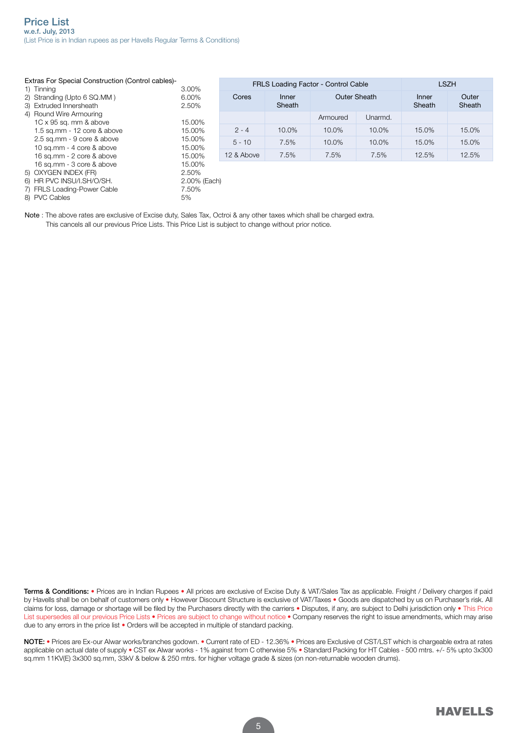Extras For Special Construction (Control cables)-

| Extras For Special Construction (Control cables)-<br>1) Tinning |                         | FRLS Loading Factor - Control Cable | <b>LSZH</b>     |                     |          |                 |                 |
|-----------------------------------------------------------------|-------------------------|-------------------------------------|-----------------|---------------------|----------|-----------------|-----------------|
| 2) Stranding (Upto 6 SQ.MM)<br>3) Extruded Innersheath          | 3.00%<br>6.00%<br>2.50% | Cores                               | Inner<br>Sheath | <b>Outer Sheath</b> |          | Inner<br>Sheath | Outer<br>Sheath |
| 4) Round Wire Armouring                                         |                         |                                     |                 | Armoured            | Unarmd.  |                 |                 |
| 1C x 95 sq. mm & above                                          | 15.00%                  |                                     |                 |                     |          |                 |                 |
| 1.5 sq.mm - 12 core & above                                     | 15.00%                  | $2 - 4$                             | 10.0%           | $10.0\%$            | $10.0\%$ | 15.0%           | 15.0%           |
| 2.5 sq.mm - 9 core & above                                      | 15.00%                  | $5 - 10$                            | 7.5%            | 10.0%               | 10.0%    | 15.0%           | 15.0%           |
| 10 sq.mm - 4 core & above                                       | 15.00%                  |                                     |                 |                     |          |                 |                 |
| 16 sq.mm - 2 core & above                                       | 15.00%                  | 12 & Above                          | 7.5%            | 7.5%                | 7.5%     | 12.5%           | 12.5%           |
| 16 sq.mm - 3 core & above                                       | 15.00%                  |                                     |                 |                     |          |                 |                 |
| 5) OXYGEN INDEX (FR)                                            | 2.50%                   |                                     |                 |                     |          |                 |                 |
| 6) HR PVC INSU/I.SH/O/SH.                                       | 2.00% (Each)            |                                     |                 |                     |          |                 |                 |
| 7) FRLS Loading-Power Cable                                     | 7.50%                   |                                     |                 |                     |          |                 |                 |
| 8) PVC Cables                                                   | 5%                      |                                     |                 |                     |          |                 |                 |

Note : The above rates are exclusive of Excise duty, Sales Tax, Octroi & any other taxes which shall be charged extra. This cancels all our previous Price Lists. This Price List is subject to change without prior notice.

Terms & Conditions: • Prices are in Indian Rupees • All prices are exclusive of Excise Duty & VAT/Sales Tax as applicable. Freight / Delivery charges if paid by Havells shall be on behalf of customers only • However Discount Structure is exclusive of VAT/Taxes • Goods are dispatched by us on Purchaser's risk. All claims for loss, damage or shortage will be filed by the Purchasers directly with the carriers • Disputes, if any, are subject to Delhi jurisdiction only • This Price List supersedes all our previous Price Lists • Prices are subject to change without notice • Company reserves the right to issue amendments, which may arise due to any errors in the price list • Orders will be accepted in multiple of standard packing.

NOTE: . Prices are Ex-our Alwar works/branches godown. . Current rate of ED - 12.36% . Prices are Exclusive of CST/LST which is chargeable extra at rates applicable on actual date of supply • CST ex Alwar works - 1% against from C otherwise 5% • Standard Packing for HT Cables - 500 mtrs. +/- 5% upto 3x300 sq.mm 11KV(E) 3x300 sq.mm, 33kV & below & 250 mtrs. for higher voltage grade & sizes (on non-returnable wooden drums).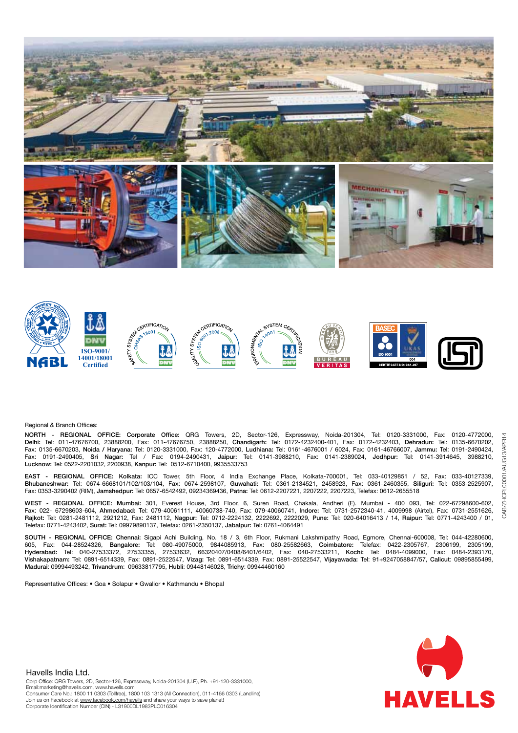



#### Regional & Branch Offices:

NORTH - REGIONAL OFFICE: Corporate Office: QRG Towers, 2D, Sector-126, Expressway, Noida-201304, Tel: 0120-3331000, Fax: 0120-4772000, Delhi: Tel: 011-47676700, 23888200, Fax: 011-47676750, 23888250, Chandigarh: Tel: 0172-4232400-401, Fax: 0172-4232403, Dehradun: Tel: 0135-6670202, Fax: 0135-6670203, Noida / Haryana: Tel: 0120-3331000, Fax: 120-4772000, Ludhiana: Tel: 0161-4676001 / 6024, Fax: 0161-46766007, Jammu: Tel: 0191-2490424, Fax: 0191-2490405, Sri Nagar: Tel / Fax: 0194-2490431, Jaipur: Tel: 0141-3988210, Fax: 0141-2389024, Jodhpur: Tel: 0141-3914645, 3988210, Lucknow: Tel: 0522-2201032, 2200938, Kanpur: Tel: 0512-6710400, 9935533753

EAST - REGIONAL OFFICE: Kolkata: ICC Tower, 5th Floor, 4 India Exchange Place, Kolkata-700001, Tel: 033-40129851 / 52, Fax: 033-40127339, Bhubaneshwar: Tel: 0674-6668101/102/103/104, Fax: 0674-2598107, Guwahati: Tel: 0361-2134521, 2458923, Fax: 0361-2460355, Siliguri: Tel: 0353-2525907, Fax: 0353-3290402 (RIM), Jamshedpur: Tel: 0657-6542492, 09234369436, Patna: Tel: 0612-2207221, 2207222, 2207223, Telefax: 0612-2655518

WEST - REGIONAL OFFICE: Mumbai: 301, Everest House, 3rd Floor, 6, Suren Road, Chakala, Andheri (E). Mumbai - 400 093, Tel: 022-67298600-602, Fax: 022- 67298603-604, Ahmedabad: Tel: 079-40061111, 40060738-740, Fax: 079-40060741, Indore: Tel: 0731-2572340-41, 4009998 (Airtel), Fax: 0731-2551626, Rajkot: Tel: 0281-2481112, 2921212, Fax: 2481112, Nagpur: Tel: 0712-2224132, 2222692, 2222029, Pune: Tel: 020-64016413 / 14, Raipur: Tel: 0771-4243400 / 01, Telefax: 0771-4243402, Surat: Tel: 09979890137, Telefax: 0261-2350137, Jabalpur: Tel: 0761-4064491

SOUTH - REGIONAL OFFICE: Chennai: Sigapi Achi Building, No. 18 / 3, 6th Floor, Rukmani Lakshmipathy Road, Egmore, Chennai-600008, Tel: 044-42280600, 605, Fax: 044-28524326, Bangalore: Tel: 080-49075000, 9844085913, Fax: 080-25582663, Coimbatore: Telefax: 0422-2305767, 2306199, 2305199, 27533632, 66320407/0408/6401/6402, Fax: 040-27533211, Kochi: Tel: 0484-4099000, Vishakapatnam: Tel: 0891-6514339, Fax: 0891-2522547, Vizag: Tel: 0891-6514339, Fax: 0891-25522547, Vijayawada: Tel: 91+9247058847/57, Calicut: 09895855499, Madurai: 09994493242, Trivandrum: 09633817795, Hubli: 09448146028, Trichy: 09944460160

Representative Offices: • Goa • Solapur • Gwalior • Kathmandu • Bhopal